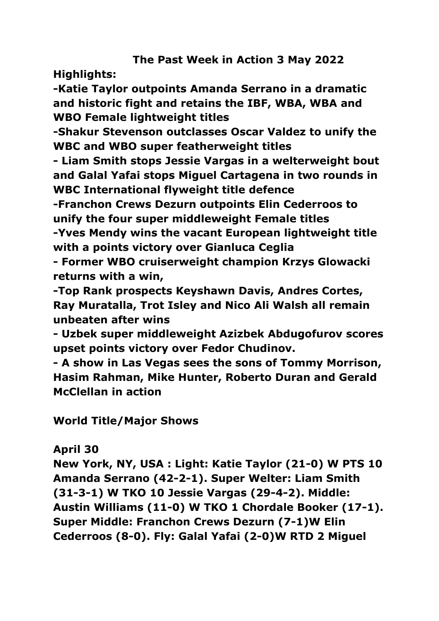#### **The Past Week in Action 3 May 2022**

**Highlights:**

**-Katie Taylor outpoints Amanda Serrano in a dramatic and historic fight and retains the IBF, WBA, WBA and WBO Female lightweight titles**

**-Shakur Stevenson outclasses Oscar Valdez to unify the WBC and WBO super featherweight titles**

**- Liam Smith stops Jessie Vargas in a welterweight bout and Galal Yafai stops Miguel Cartagena in two rounds in WBC International flyweight title defence**

**-Franchon Crews Dezurn outpoints Elin Cederroos to unify the four super middleweight Female titles**

**-Yves Mendy wins the vacant European lightweight title with a points victory over Gianluca Ceglia**

**- Former WBO cruiserweight champion Krzys Glowacki returns with a win,**

**-Top Rank prospects Keyshawn Davis, Andres Cortes, Ray Muratalla, Trot Isley and Nico Ali Walsh all remain unbeaten after wins**

**- Uzbek super middleweight Azizbek Abdugofurov scores upset points victory over Fedor Chudinov.**

**- A show in Las Vegas sees the sons of Tommy Morrison, Hasim Rahman, Mike Hunter, Roberto Duran and Gerald McClellan in action**

**World Title/Major Shows**

#### **April 30**

**New York, NY, USA : Light: Katie Taylor (21-0) W PTS 10 Amanda Serrano (42-2-1). Super Welter: Liam Smith (31-3-1) W TKO 10 Jessie Vargas (29-4-2). Middle: Austin Williams (11-0) W TKO 1 Chordale Booker (17-1). Super Middle: Franchon Crews Dezurn (7-1)W Elin Cederroos (8-0). Fly: Galal Yafai (2-0)W RTD 2 Miguel**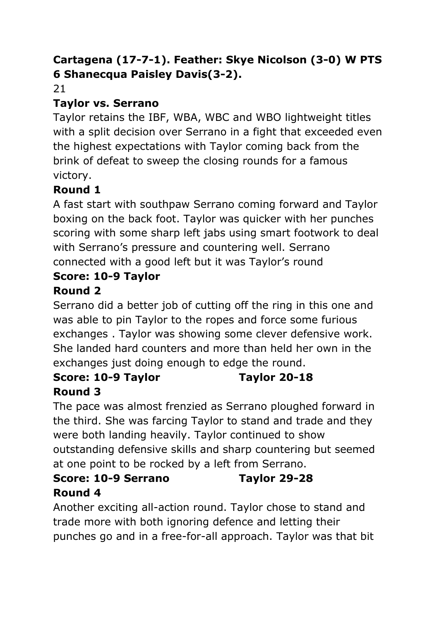# **Cartagena (17-7-1). Feather: Skye Nicolson (3-0) W PTS 6 Shanecqua Paisley Davis(3-2).**

21

# **Taylor vs. Serrano**

Taylor retains the IBF, WBA, WBC and WBO lightweight titles with a split decision over Serrano in a fight that exceeded even the highest expectations with Taylor coming back from the brink of defeat to sweep the closing rounds for a famous victory.

# **Round 1**

A fast start with southpaw Serrano coming forward and Taylor boxing on the back foot. Taylor was quicker with her punches scoring with some sharp left jabs using smart footwork to deal with Serrano's pressure and countering well. Serrano connected with a good left but it was Taylor's round

# **Score: 10-9 Taylor**

# **Round 2**

Serrano did a better job of cutting off the ring in this one and was able to pin Taylor to the ropes and force some furious exchanges . Taylor was showing some clever defensive work. She landed hard counters and more than held her own in the exchanges just doing enough to edge the round.

#### **Score: 10-9 Taylor Taylor 20-18 Round 3**

The pace was almost frenzied as Serrano ploughed forward in the third. She was farcing Taylor to stand and trade and they were both landing heavily. Taylor continued to show outstanding defensive skills and sharp countering but seemed at one point to be rocked by a left from Serrano.

#### **Score: 10-9 Serrano Taylor 29-28 Round 4**

Another exciting all-action round. Taylor chose to stand and trade more with both ignoring defence and letting their punches go and in a free-for-all approach. Taylor was that bit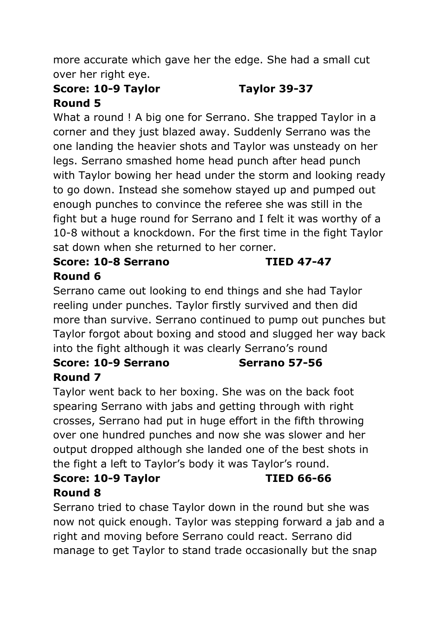more accurate which gave her the edge. She had a small cut over her right eye.

# **Score: 10-9 Taylor Taylor 39-37 Round 5**

What a round ! A big one for Serrano. She trapped Taylor in a corner and they just blazed away. Suddenly Serrano was the one landing the heavier shots and Taylor was unsteady on her legs. Serrano smashed home head punch after head punch with Taylor bowing her head under the storm and looking ready to go down. Instead she somehow stayed up and pumped out enough punches to convince the referee she was still in the fight but a huge round for Serrano and I felt it was worthy of a 10-8 without a knockdown. For the first time in the fight Taylor sat down when she returned to her corner.

#### **Score: 10-8 Serrano TIED 47-47 Round 6**

Serrano came out looking to end things and she had Taylor reeling under punches. Taylor firstly survived and then did more than survive. Serrano continued to pump out punches but Taylor forgot about boxing and stood and slugged her way back into the fight although it was clearly Serrano's round

#### **Score: 10-9 Serrano Serrano 57-56 Round 7**

Taylor went back to her boxing. She was on the back foot spearing Serrano with jabs and getting through with right crosses, Serrano had put in huge effort in the fifth throwing over one hundred punches and now she was slower and her output dropped although she landed one of the best shots in the fight a left to Taylor's body it was Taylor's round.

### **Score: 10-9 Taylor TIED 66-66 Round 8**

Serrano tried to chase Taylor down in the round but she was now not quick enough. Taylor was stepping forward a jab and a right and moving before Serrano could react. Serrano did manage to get Taylor to stand trade occasionally but the snap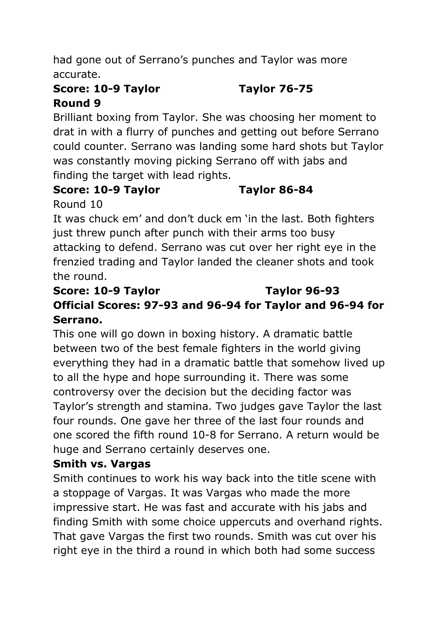had gone out of Serrano's punches and Taylor was more accurate.

# **Score: 10-9 Taylor Taylor 76-75 Round 9**

Brilliant boxing from Taylor. She was choosing her moment to drat in with a flurry of punches and getting out before Serrano could counter. Serrano was landing some hard shots but Taylor was constantly moving picking Serrano off with jabs and finding the target with lead rights.

# **Score: 10-9 Taylor Taylor 86-84**

Round 10

It was chuck em' and don't duck em 'in the last. Both fighters just threw punch after punch with their arms too busy attacking to defend. Serrano was cut over her right eye in the frenzied trading and Taylor landed the cleaner shots and took the round.

# **Score: 10-9 Taylor Taylor 96-93 Official Scores: 97-93 and 96-94 for Taylor and 96-94 for Serrano.**

This one will go down in boxing history. A dramatic battle between two of the best female fighters in the world giving everything they had in a dramatic battle that somehow lived up to all the hype and hope surrounding it. There was some controversy over the decision but the deciding factor was Taylor's strength and stamina. Two judges gave Taylor the last four rounds. One gave her three of the last four rounds and one scored the fifth round 10-8 for Serrano. A return would be huge and Serrano certainly deserves one.

# **Smith vs. Vargas**

Smith continues to work his way back into the title scene with a stoppage of Vargas. It was Vargas who made the more impressive start. He was fast and accurate with his jabs and finding Smith with some choice uppercuts and overhand rights. That gave Vargas the first two rounds. Smith was cut over his right eye in the third a round in which both had some success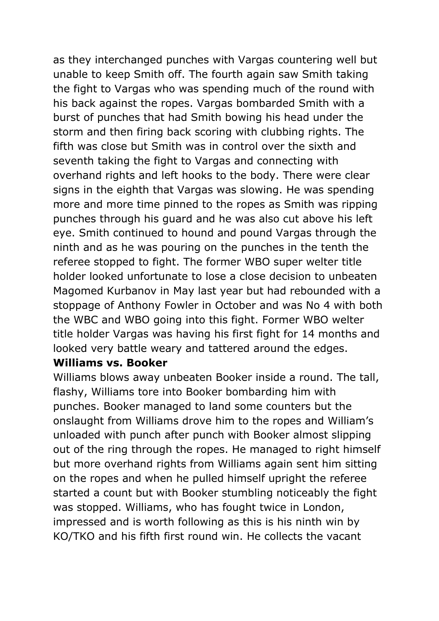as they interchanged punches with Vargas countering well but unable to keep Smith off. The fourth again saw Smith taking the fight to Vargas who was spending much of the round with his back against the ropes. Vargas bombarded Smith with a burst of punches that had Smith bowing his head under the storm and then firing back scoring with clubbing rights. The fifth was close but Smith was in control over the sixth and seventh taking the fight to Vargas and connecting with overhand rights and left hooks to the body. There were clear signs in the eighth that Vargas was slowing. He was spending more and more time pinned to the ropes as Smith was ripping punches through his guard and he was also cut above his left eye. Smith continued to hound and pound Vargas through the ninth and as he was pouring on the punches in the tenth the referee stopped to fight. The former WBO super welter title holder looked unfortunate to lose a close decision to unbeaten Magomed Kurbanov in May last year but had rebounded with a stoppage of Anthony Fowler in October and was No 4 with both the WBC and WBO going into this fight. Former WBO welter title holder Vargas was having his first fight for 14 months and looked very battle weary and tattered around the edges.

#### **Williams vs. Booker**

Williams blows away unbeaten Booker inside a round. The tall, flashy, Williams tore into Booker bombarding him with punches. Booker managed to land some counters but the onslaught from Williams drove him to the ropes and William's unloaded with punch after punch with Booker almost slipping out of the ring through the ropes. He managed to right himself but more overhand rights from Williams again sent him sitting on the ropes and when he pulled himself upright the referee started a count but with Booker stumbling noticeably the fight was stopped. Williams, who has fought twice in London, impressed and is worth following as this is his ninth win by KO/TKO and his fifth first round win. He collects the vacant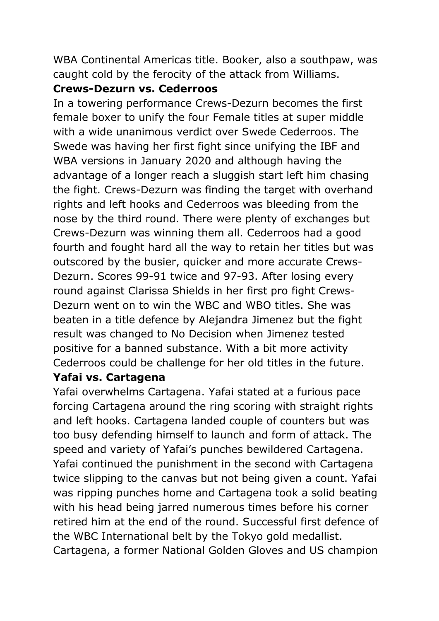WBA Continental Americas title. Booker, also a southpaw, was caught cold by the ferocity of the attack from Williams.

#### **Crews-Dezurn vs. Cederroos**

In a towering performance Crews-Dezurn becomes the first female boxer to unify the four Female titles at super middle with a wide unanimous verdict over Swede Cederroos. The Swede was having her first fight since unifying the IBF and WBA versions in January 2020 and although having the advantage of a longer reach a sluggish start left him chasing the fight. Crews-Dezurn was finding the target with overhand rights and left hooks and Cederroos was bleeding from the nose by the third round. There were plenty of exchanges but Crews-Dezurn was winning them all. Cederroos had a good fourth and fought hard all the way to retain her titles but was outscored by the busier, quicker and more accurate Crews-Dezurn. Scores 99-91 twice and 97-93. After losing every round against Clarissa Shields in her first pro fight Crews-Dezurn went on to win the WBC and WBO titles. She was beaten in a title defence by Alejandra Jimenez but the fight result was changed to No Decision when Jimenez tested positive for a banned substance. With a bit more activity Cederroos could be challenge for her old titles in the future.

#### **Yafai vs. Cartagena**

Yafai overwhelms Cartagena. Yafai stated at a furious pace forcing Cartagena around the ring scoring with straight rights and left hooks. Cartagena landed couple of counters but was too busy defending himself to launch and form of attack. The speed and variety of Yafai's punches bewildered Cartagena. Yafai continued the punishment in the second with Cartagena twice slipping to the canvas but not being given a count. Yafai was ripping punches home and Cartagena took a solid beating with his head being jarred numerous times before his corner retired him at the end of the round. Successful first defence of the WBC International belt by the Tokyo gold medallist. Cartagena, a former National Golden Gloves and US champion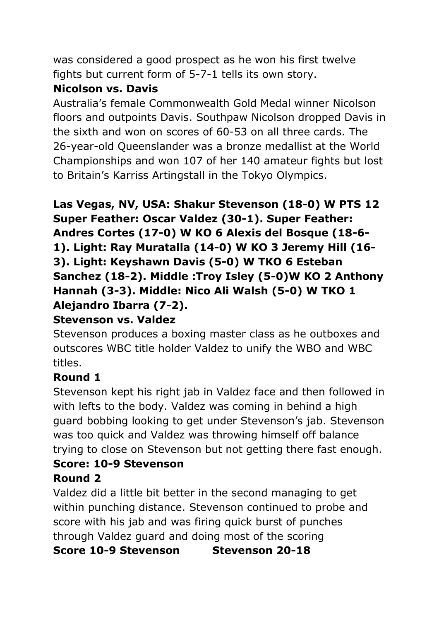was considered a good prospect as he won his first twelve fights but current form of 5-7-1 tells its own story.

# **Nicolson vs. Davis**

Australia's female Commonwealth Gold Medal winner Nicolson floors and outpoints Davis. Southpaw Nicolson dropped Davis in the sixth and won on scores of 60-53 on all three cards. The 26-year-old Queenslander was a bronze medallist at the World Championships and won 107 of her 140 amateur fights but lost to Britain's Karriss Artingstall in the Tokyo Olympics.

**Las Vegas, NV, USA: Shakur Stevenson (18-0) W PTS 12 Super Feather: Oscar Valdez (30-1). Super Feather: Andres Cortes (17-0) W KO 6 Alexis del Bosque (18-6- 1). Light: Ray Muratalla (14-0) W KO 3 Jeremy Hill (16- 3). Light: Keyshawn Davis (5-0) W TKO 6 Esteban Sanchez (18-2). Middle :Troy Isley (5-0)W KO 2 Anthony Hannah (3-3). Middle: Nico Ali Walsh (5-0) W TKO 1 Alejandro Ibarra (7-2).**

### **Stevenson vs. Valdez**

Stevenson produces a boxing master class as he outboxes and outscores WBC title holder Valdez to unify the WBO and WBC titles.

# **Round 1**

Stevenson kept his right jab in Valdez face and then followed in with lefts to the body. Valdez was coming in behind a high guard bobbing looking to get under Stevenson's jab. Stevenson was too quick and Valdez was throwing himself off balance trying to close on Stevenson but not getting there fast enough.

# **Score: 10-9 Stevenson**

### **Round 2**

Valdez did a little bit better in the second managing to get within punching distance. Stevenson continued to probe and score with his jab and was firing quick burst of punches through Valdez guard and doing most of the scoring **Score 10-9 Stevenson Stevenson 20-18**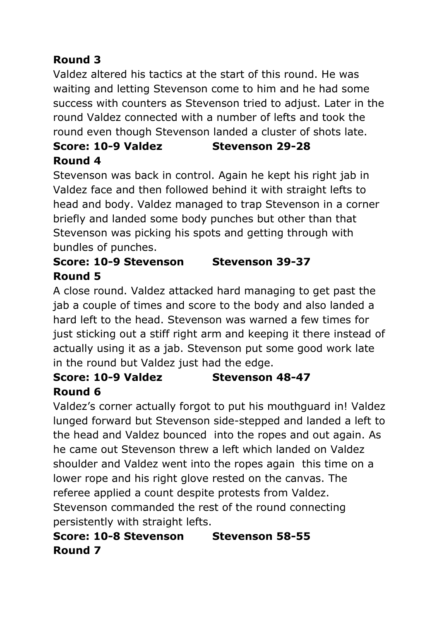# **Round 3**

Valdez altered his tactics at the start of this round. He was waiting and letting Stevenson come to him and he had some success with counters as Stevenson tried to adjust. Later in the round Valdez connected with a number of lefts and took the round even though Stevenson landed a cluster of shots late.

# **Score: 10-9 Valdez Stevenson 29-28 Round 4**

Stevenson was back in control. Again he kept his right jab in Valdez face and then followed behind it with straight lefts to head and body. Valdez managed to trap Stevenson in a corner briefly and landed some body punches but other than that Stevenson was picking his spots and getting through with bundles of punches.

# **Score: 10-9 Stevenson Stevenson 39-37 Round 5**

A close round. Valdez attacked hard managing to get past the jab a couple of times and score to the body and also landed a hard left to the head. Stevenson was warned a few times for just sticking out a stiff right arm and keeping it there instead of actually using it as a jab. Stevenson put some good work late in the round but Valdez just had the edge.

# **Score: 10-9 Valdez Stevenson 48-47 Round 6**

Valdez's corner actually forgot to put his mouthguard in! Valdez lunged forward but Stevenson side-stepped and landed a left to the head and Valdez bounced into the ropes and out again. As he came out Stevenson threw a left which landed on Valdez shoulder and Valdez went into the ropes again this time on a lower rope and his right glove rested on the canvas. The referee applied a count despite protests from Valdez. Stevenson commanded the rest of the round connecting persistently with straight lefts.

# **Score: 10-8 Stevenson Stevenson 58-55 Round 7**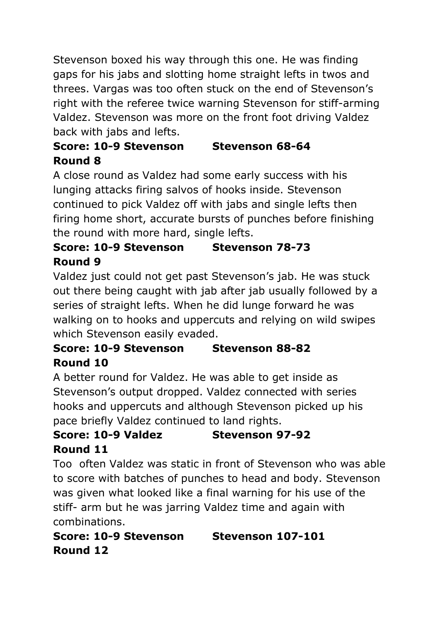Stevenson boxed his way through this one. He was finding gaps for his jabs and slotting home straight lefts in twos and threes. Vargas was too often stuck on the end of Stevenson's right with the referee twice warning Stevenson for stiff-arming Valdez. Stevenson was more on the front foot driving Valdez back with jabs and lefts.

## **Score: 10-9 Stevenson Stevenson 68-64 Round 8**

A close round as Valdez had some early success with his lunging attacks firing salvos of hooks inside. Stevenson continued to pick Valdez off with jabs and single lefts then firing home short, accurate bursts of punches before finishing the round with more hard, single lefts.

# **Score: 10-9 Stevenson Stevenson 78-73 Round 9**

Valdez just could not get past Stevenson's jab. He was stuck out there being caught with jab after jab usually followed by a series of straight lefts. When he did lunge forward he was walking on to hooks and uppercuts and relying on wild swipes which Stevenson easily evaded.

# **Score: 10-9 Stevenson Stevenson 88-82 Round 10**

A better round for Valdez. He was able to get inside as Stevenson's output dropped. Valdez connected with series hooks and uppercuts and although Stevenson picked up his pace briefly Valdez continued to land rights.

# **Score: 10-9 Valdez Stevenson 97-92 Round 11**

Too often Valdez was static in front of Stevenson who was able to score with batches of punches to head and body. Stevenson was given what looked like a final warning for his use of the stiff- arm but he was jarring Valdez time and again with combinations.

# **Score: 10-9 Stevenson Stevenson 107-101 Round 12**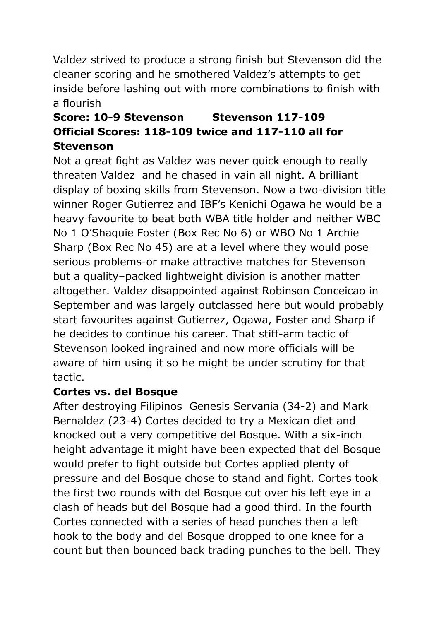Valdez strived to produce a strong finish but Stevenson did the cleaner scoring and he smothered Valdez's attempts to get inside before lashing out with more combinations to finish with a flourish

# **Score: 10-9 Stevenson Stevenson 117-109 Official Scores: 118-109 twice and 117-110 all for Stevenson**

Not a great fight as Valdez was never quick enough to really threaten Valdez and he chased in vain all night. A brilliant display of boxing skills from Stevenson. Now a two-division title winner Roger Gutierrez and IBF's Kenichi Ogawa he would be a heavy favourite to beat both WBA title holder and neither WBC No 1 O'Shaquie Foster (Box Rec No 6) or WBO No 1 Archie Sharp (Box Rec No 45) are at a level where they would pose serious problems-or make attractive matches for Stevenson but a quality–packed lightweight division is another matter altogether. Valdez disappointed against Robinson Conceicao in September and was largely outclassed here but would probably start favourites against Gutierrez, Ogawa, Foster and Sharp if he decides to continue his career. That stiff-arm tactic of Stevenson looked ingrained and now more officials will be aware of him using it so he might be under scrutiny for that tactic.

#### **Cortes vs. del Bosque**

After destroying Filipinos Genesis Servania (34-2) and Mark Bernaldez (23-4) Cortes decided to try a Mexican diet and knocked out a very competitive del Bosque. With a six-inch height advantage it might have been expected that del Bosque would prefer to fight outside but Cortes applied plenty of pressure and del Bosque chose to stand and fight. Cortes took the first two rounds with del Bosque cut over his left eye in a clash of heads but del Bosque had a good third. In the fourth Cortes connected with a series of head punches then a left hook to the body and del Bosque dropped to one knee for a count but then bounced back trading punches to the bell. They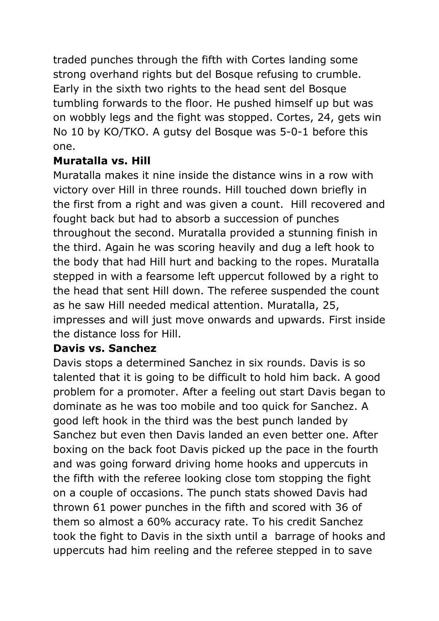traded punches through the fifth with Cortes landing some strong overhand rights but del Bosque refusing to crumble. Early in the sixth two rights to the head sent del Bosque tumbling forwards to the floor. He pushed himself up but was on wobbly legs and the fight was stopped. Cortes, 24, gets win No 10 by KO/TKO. A gutsy del Bosque was 5-0-1 before this one.

#### **Muratalla vs. Hill**

Muratalla makes it nine inside the distance wins in a row with victory over Hill in three rounds. Hill touched down briefly in the first from a right and was given a count. Hill recovered and fought back but had to absorb a succession of punches throughout the second. Muratalla provided a stunning finish in the third. Again he was scoring heavily and dug a left hook to the body that had Hill hurt and backing to the ropes. Muratalla stepped in with a fearsome left uppercut followed by a right to the head that sent Hill down. The referee suspended the count as he saw Hill needed medical attention. Muratalla, 25, impresses and will just move onwards and upwards. First inside the distance loss for Hill.

#### **Davis vs. Sanchez**

Davis stops a determined Sanchez in six rounds. Davis is so talented that it is going to be difficult to hold him back. A good problem for a promoter. After a feeling out start Davis began to dominate as he was too mobile and too quick for Sanchez. A good left hook in the third was the best punch landed by Sanchez but even then Davis landed an even better one. After boxing on the back foot Davis picked up the pace in the fourth and was going forward driving home hooks and uppercuts in the fifth with the referee looking close tom stopping the fight on a couple of occasions. The punch stats showed Davis had thrown 61 power punches in the fifth and scored with 36 of them so almost a 60% accuracy rate. To his credit Sanchez took the fight to Davis in the sixth until a barrage of hooks and uppercuts had him reeling and the referee stepped in to save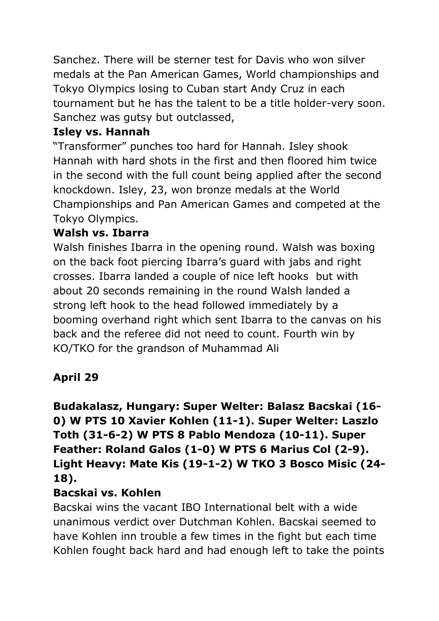Sanchez. There will be sterner test for Davis who won silver medals at the Pan American Games, World championships and Tokyo Olympics losing to Cuban start Andy Cruz in each tournament but he has the talent to be a title holder-very soon. Sanchez was gutsy but outclassed,

# **Isley vs. Hannah**

"Transformer" punches too hard for Hannah. Isley shook Hannah with hard shots in the first and then floored him twice in the second with the full count being applied after the second knockdown. Isley, 23, won bronze medals at the World Championships and Pan American Games and competed at the Tokyo Olympics.

### **Walsh vs. Ibarra**

Walsh finishes Ibarra in the opening round. Walsh was boxing on the back foot piercing Ibarra's guard with jabs and right crosses. Ibarra landed a couple of nice left hooks but with about 20 seconds remaining in the round Walsh landed a strong left hook to the head followed immediately by a booming overhand right which sent Ibarra to the canvas on his back and the referee did not need to count. Fourth win by KO/TKO for the grandson of Muhammad Ali

# **April 29**

# **Budakalasz, Hungary: Super Welter: Balasz Bacskai (16- 0) W PTS 10 Xavier Kohlen (11-1). Super Welter: Laszlo Toth (31-6-2) W PTS 8 Pablo Mendoza (10-11). Super Feather: Roland Galos (1-0) W PTS 6 Marius Col (2-9). Light Heavy: Mate Kis (19-1-2) W TKO 3 Bosco Misic (24- 18).**

#### **Bacskai vs. Kohlen**

Bacskai wins the vacant IBO International belt with a wide unanimous verdict over Dutchman Kohlen. Bacskai seemed to have Kohlen inn trouble a few times in the fight but each time Kohlen fought back hard and had enough left to take the points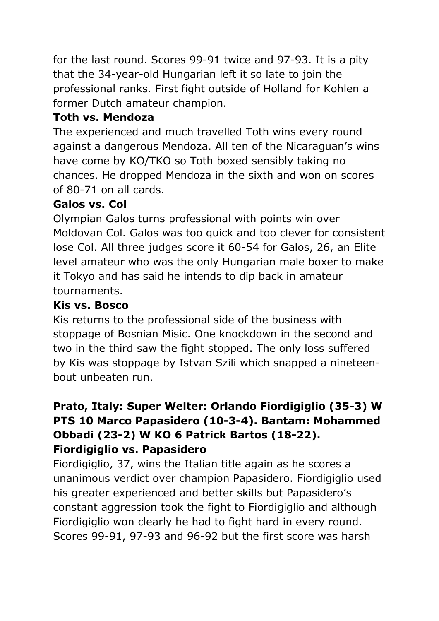for the last round. Scores 99-91 twice and 97-93. It is a pity that the 34-year-old Hungarian left it so late to join the professional ranks. First fight outside of Holland for Kohlen a former Dutch amateur champion.

### **Toth vs. Mendoza**

The experienced and much travelled Toth wins every round against a dangerous Mendoza. All ten of the Nicaraguan's wins have come by KO/TKO so Toth boxed sensibly taking no chances. He dropped Mendoza in the sixth and won on scores of 80-71 on all cards.

### **Galos vs. Col**

Olympian Galos turns professional with points win over Moldovan Col. Galos was too quick and too clever for consistent lose Col. All three judges score it 60-54 for Galos, 26, an Elite level amateur who was the only Hungarian male boxer to make it Tokyo and has said he intends to dip back in amateur tournaments.

#### **Kis vs. Bosco**

Kis returns to the professional side of the business with stoppage of Bosnian Misic. One knockdown in the second and two in the third saw the fight stopped. The only loss suffered by Kis was stoppage by Istvan Szili which snapped a nineteenbout unbeaten run.

### **Prato, Italy: Super Welter: Orlando Fiordigiglio (35-3) W PTS 10 Marco Papasidero (10-3-4). Bantam: Mohammed Obbadi (23-2) W KO 6 Patrick Bartos (18-22). Fiordigiglio vs. Papasidero**

Fiordigiglio, 37, wins the Italian title again as he scores a unanimous verdict over champion Papasidero. Fiordigiglio used his greater experienced and better skills but Papasidero's constant aggression took the fight to Fiordigiglio and although Fiordigiglio won clearly he had to fight hard in every round. Scores 99-91, 97-93 and 96-92 but the first score was harsh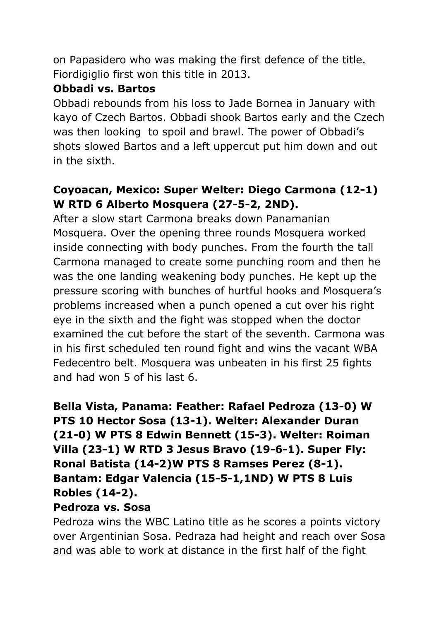on Papasidero who was making the first defence of the title. Fiordigiglio first won this title in 2013.

#### **Obbadi vs. Bartos**

Obbadi rebounds from his loss to Jade Bornea in January with kayo of Czech Bartos. Obbadi shook Bartos early and the Czech was then looking to spoil and brawl. The power of Obbadi's shots slowed Bartos and a left uppercut put him down and out in the sixth.

### **Coyoacan, Mexico: Super Welter: Diego Carmona (12-1) W RTD 6 Alberto Mosquera (27-5-2, 2ND).**

After a slow start Carmona breaks down Panamanian Mosquera. Over the opening three rounds Mosquera worked inside connecting with body punches. From the fourth the tall Carmona managed to create some punching room and then he was the one landing weakening body punches. He kept up the pressure scoring with bunches of hurtful hooks and Mosquera's problems increased when a punch opened a cut over his right eye in the sixth and the fight was stopped when the doctor examined the cut before the start of the seventh. Carmona was in his first scheduled ten round fight and wins the vacant WBA Fedecentro belt. Mosquera was unbeaten in his first 25 fights and had won 5 of his last 6.

# **Bella Vista, Panama: Feather: Rafael Pedroza (13-0) W PTS 10 Hector Sosa (13-1). Welter: Alexander Duran (21-0) W PTS 8 Edwin Bennett (15-3). Welter: Roiman Villa (23-1) W RTD 3 Jesus Bravo (19-6-1). Super Fly: Ronal Batista (14-2)W PTS 8 Ramses Perez (8-1). Bantam: Edgar Valencia (15-5-1,1ND) W PTS 8 Luis Robles (14-2).**

#### **Pedroza vs. Sosa**

Pedroza wins the WBC Latino title as he scores a points victory over Argentinian Sosa. Pedraza had height and reach over Sosa and was able to work at distance in the first half of the fight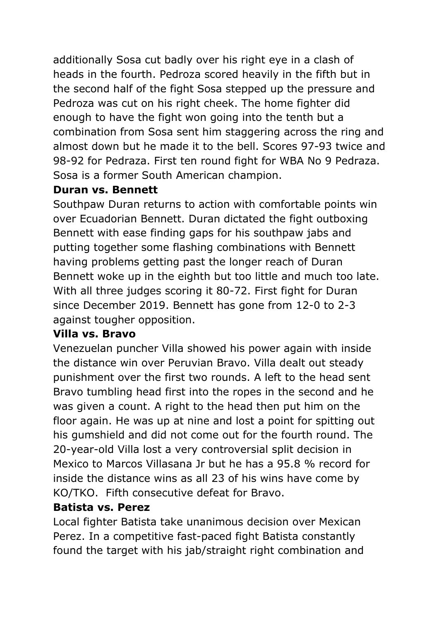additionally Sosa cut badly over his right eye in a clash of heads in the fourth. Pedroza scored heavily in the fifth but in the second half of the fight Sosa stepped up the pressure and Pedroza was cut on his right cheek. The home fighter did enough to have the fight won going into the tenth but a combination from Sosa sent him staggering across the ring and almost down but he made it to the bell. Scores 97-93 twice and 98-92 for Pedraza. First ten round fight for WBA No 9 Pedraza. Sosa is a former South American champion.

#### **Duran vs. Bennett**

Southpaw Duran returns to action with comfortable points win over Ecuadorian Bennett. Duran dictated the fight outboxing Bennett with ease finding gaps for his southpaw jabs and putting together some flashing combinations with Bennett having problems getting past the longer reach of Duran Bennett woke up in the eighth but too little and much too late. With all three judges scoring it 80-72. First fight for Duran since December 2019. Bennett has gone from 12-0 to 2-3 against tougher opposition.

### **Villa vs. Bravo**

Venezuelan puncher Villa showed his power again with inside the distance win over Peruvian Bravo. Villa dealt out steady punishment over the first two rounds. A left to the head sent Bravo tumbling head first into the ropes in the second and he was given a count. A right to the head then put him on the floor again. He was up at nine and lost a point for spitting out his gumshield and did not come out for the fourth round. The 20-year-old Villa lost a very controversial split decision in Mexico to Marcos Villasana Jr but he has a 95.8 % record for inside the distance wins as all 23 of his wins have come by KO/TKO. Fifth consecutive defeat for Bravo.

#### **Batista vs. Perez**

Local fighter Batista take unanimous decision over Mexican Perez. In a competitive fast-paced fight Batista constantly found the target with his jab/straight right combination and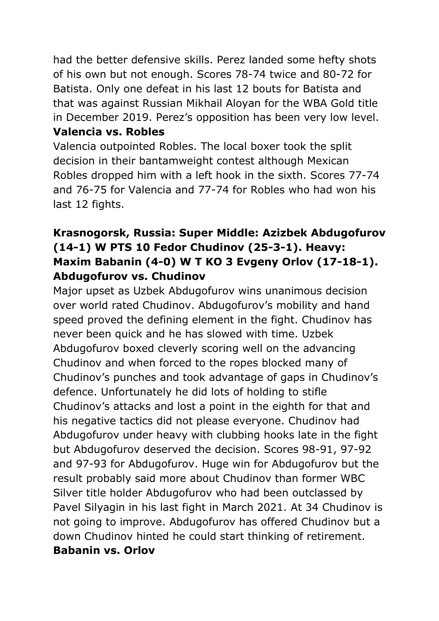had the better defensive skills. Perez landed some hefty shots of his own but not enough. Scores 78-74 twice and 80-72 for Batista. Only one defeat in his last 12 bouts for Batista and that was against Russian Mikhail Aloyan for the WBA Gold title in December 2019. Perez's opposition has been very low level. **Valencia vs. Robles**

Valencia outpointed Robles. The local boxer took the split decision in their bantamweight contest although Mexican Robles dropped him with a left hook in the sixth. Scores 77-74 and 76-75 for Valencia and 77-74 for Robles who had won his last 12 fights.

## **Krasnogorsk, Russia: Super Middle: Azizbek Abdugofurov (14-1) W PTS 10 Fedor Chudinov (25-3-1). Heavy: Maxim Babanin (4-0) W T KO 3 Evgeny Orlov (17-18-1). Abdugofurov vs. Chudinov**

Major upset as Uzbek Abdugofurov wins unanimous decision over world rated Chudinov. Abdugofurov's mobility and hand speed proved the defining element in the fight. Chudinov has never been quick and he has slowed with time. Uzbek Abdugofurov boxed cleverly scoring well on the advancing Chudinov and when forced to the ropes blocked many of Chudinov's punches and took advantage of gaps in Chudinov's defence. Unfortunately he did lots of holding to stifle Chudinov's attacks and lost a point in the eighth for that and his negative tactics did not please everyone. Chudinov had Abdugofurov under heavy with clubbing hooks late in the fight but Abdugofurov deserved the decision. Scores 98-91, 97-92 and 97-93 for Abdugofurov. Huge win for Abdugofurov but the result probably said more about Chudinov than former WBC Silver title holder Abdugofurov who had been outclassed by Pavel Silyagin in his last fight in March 2021. At 34 Chudinov is not going to improve. Abdugofurov has offered Chudinov but a down Chudinov hinted he could start thinking of retirement. **Babanin vs. Orlov**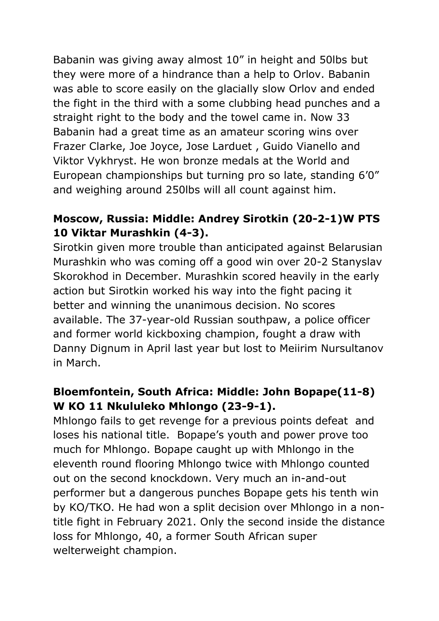Babanin was giving away almost 10" in height and 50lbs but they were more of a hindrance than a help to Orlov. Babanin was able to score easily on the glacially slow Orlov and ended the fight in the third with a some clubbing head punches and a straight right to the body and the towel came in. Now 33 Babanin had a great time as an amateur scoring wins over Frazer Clarke, Joe Joyce, Jose Larduet , Guido Vianello and Viktor Vykhryst. He won bronze medals at the World and European championships but turning pro so late, standing 6'0" and weighing around 250lbs will all count against him.

## **Moscow, Russia: Middle: Andrey Sirotkin (20-2-1)W PTS 10 Viktar Murashkin (4-3).**

Sirotkin given more trouble than anticipated against Belarusian Murashkin who was coming off a good win over 20-2 Stanyslav Skorokhod in December. Murashkin scored heavily in the early action but Sirotkin worked his way into the fight pacing it better and winning the unanimous decision. No scores available. The 37-year-old Russian southpaw, a police officer and former world kickboxing champion, fought a draw with Danny Dignum in April last year but lost to Meiirim Nursultanov in March.

### **Bloemfontein, South Africa: Middle: John Bopape(11-8) W KO 11 Nkululeko Mhlongo (23-9-1).**

Mhlongo fails to get revenge for a previous points defeat and loses his national title. Bopape's youth and power prove too much for Mhlongo. Bopape caught up with Mhlongo in the eleventh round flooring Mhlongo twice with Mhlongo counted out on the second knockdown. Very much an in-and-out performer but a dangerous punches Bopape gets his tenth win by KO/TKO. He had won a split decision over Mhlongo in a nontitle fight in February 2021. Only the second inside the distance loss for Mhlongo, 40, a former South African super welterweight champion.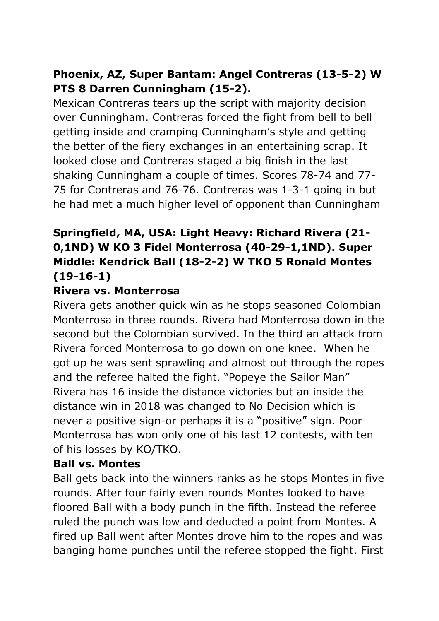## **Phoenix, AZ, Super Bantam: Angel Contreras (13-5-2) W PTS 8 Darren Cunningham (15-2).**

Mexican Contreras tears up the script with majority decision over Cunningham. Contreras forced the fight from bell to bell getting inside and cramping Cunningham's style and getting the better of the fiery exchanges in an entertaining scrap. It looked close and Contreras staged a big finish in the last shaking Cunningham a couple of times. Scores 78-74 and 77- 75 for Contreras and 76-76. Contreras was 1-3-1 going in but he had met a much higher level of opponent than Cunningham

# **Springfield, MA, USA: Light Heavy: Richard Rivera (21- 0,1ND) W KO 3 Fidel Monterrosa (40-29-1,1ND). Super Middle: Kendrick Ball (18-2-2) W TKO 5 Ronald Montes (19-16-1)**

#### **Rivera vs. Monterrosa**

Rivera gets another quick win as he stops seasoned Colombian Monterrosa in three rounds. Rivera had Monterrosa down in the second but the Colombian survived. In the third an attack from Rivera forced Monterrosa to go down on one knee. When he got up he was sent sprawling and almost out through the ropes and the referee halted the fight. "Popeye the Sailor Man" Rivera has 16 inside the distance victories but an inside the distance win in 2018 was changed to No Decision which is never a positive sign-or perhaps it is a "positive" sign. Poor Monterrosa has won only one of his last 12 contests, with ten of his losses by KO/TKO.

#### **Ball vs. Montes**

Ball gets back into the winners ranks as he stops Montes in five rounds. After four fairly even rounds Montes looked to have floored Ball with a body punch in the fifth. Instead the referee ruled the punch was low and deducted a point from Montes. A fired up Ball went after Montes drove him to the ropes and was banging home punches until the referee stopped the fight. First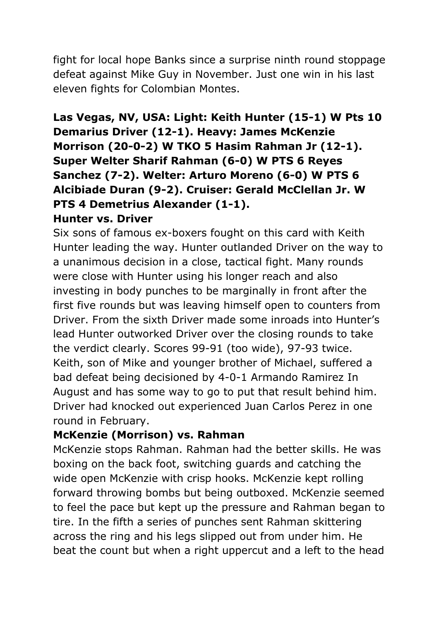fight for local hope Banks since a surprise ninth round stoppage defeat against Mike Guy in November. Just one win in his last eleven fights for Colombian Montes.

# **Las Vegas, NV, USA: Light: Keith Hunter (15-1) W Pts 10 Demarius Driver (12-1). Heavy: James McKenzie Morrison (20-0-2) W TKO 5 Hasim Rahman Jr (12-1). Super Welter Sharif Rahman (6-0) W PTS 6 Reyes Sanchez (7-2). Welter: Arturo Moreno (6-0) W PTS 6 Alcibiade Duran (9-2). Cruiser: Gerald McClellan Jr. W PTS 4 Demetrius Alexander (1-1).**

#### **Hunter vs. Driver**

Six sons of famous ex-boxers fought on this card with Keith Hunter leading the way. Hunter outlanded Driver on the way to a unanimous decision in a close, tactical fight. Many rounds were close with Hunter using his longer reach and also investing in body punches to be marginally in front after the first five rounds but was leaving himself open to counters from Driver. From the sixth Driver made some inroads into Hunter's lead Hunter outworked Driver over the closing rounds to take the verdict clearly. Scores 99-91 (too wide), 97-93 twice. Keith, son of Mike and younger brother of Michael, suffered a bad defeat being decisioned by 4-0-1 Armando Ramirez In August and has some way to go to put that result behind him. Driver had knocked out experienced Juan Carlos Perez in one round in February.

#### **McKenzie (Morrison) vs. Rahman**

McKenzie stops Rahman. Rahman had the better skills. He was boxing on the back foot, switching guards and catching the wide open McKenzie with crisp hooks. McKenzie kept rolling forward throwing bombs but being outboxed. McKenzie seemed to feel the pace but kept up the pressure and Rahman began to tire. In the fifth a series of punches sent Rahman skittering across the ring and his legs slipped out from under him. He beat the count but when a right uppercut and a left to the head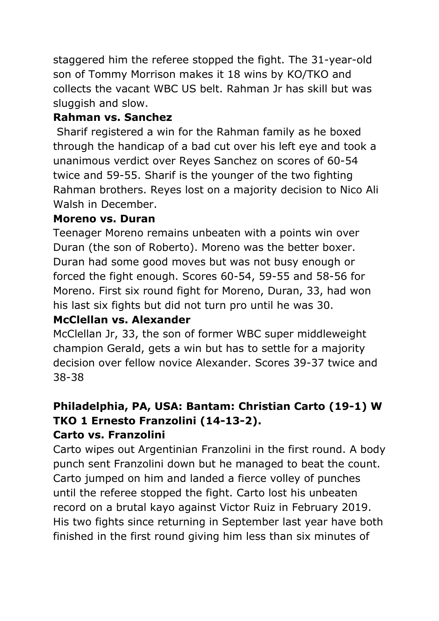staggered him the referee stopped the fight. The 31-year-old son of Tommy Morrison makes it 18 wins by KO/TKO and collects the vacant WBC US belt. Rahman Jr has skill but was sluggish and slow.

### **Rahman vs. Sanchez**

Sharif registered a win for the Rahman family as he boxed through the handicap of a bad cut over his left eye and took a unanimous verdict over Reyes Sanchez on scores of 60-54 twice and 59-55. Sharif is the younger of the two fighting Rahman brothers. Reyes lost on a majority decision to Nico Ali Walsh in December.

#### **Moreno vs. Duran**

Teenager Moreno remains unbeaten with a points win over Duran (the son of Roberto). Moreno was the better boxer. Duran had some good moves but was not busy enough or forced the fight enough. Scores 60-54, 59-55 and 58-56 for Moreno. First six round fight for Moreno, Duran, 33, had won his last six fights but did not turn pro until he was 30.

### **McClellan vs. Alexander**

McClellan Jr, 33, the son of former WBC super middleweight champion Gerald, gets a win but has to settle for a majority decision over fellow novice Alexander. Scores 39-37 twice and 38-38

#### **Philadelphia, PA, USA: Bantam: Christian Carto (19-1) W TKO 1 Ernesto Franzolini (14-13-2). Carto vs. Franzolini**

Carto wipes out Argentinian Franzolini in the first round. A body punch sent Franzolini down but he managed to beat the count. Carto jumped on him and landed a fierce volley of punches until the referee stopped the fight. Carto lost his unbeaten record on a brutal kayo against Victor Ruiz in February 2019. His two fights since returning in September last year have both finished in the first round giving him less than six minutes of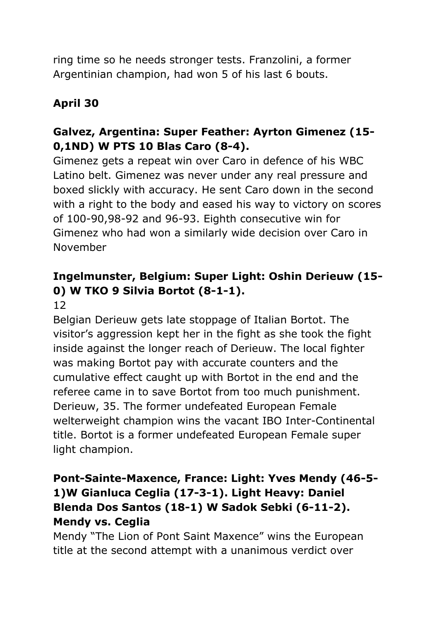ring time so he needs stronger tests. Franzolini, a former Argentinian champion, had won 5 of his last 6 bouts.

# **April 30**

# **Galvez, Argentina: Super Feather: Ayrton Gimenez (15- 0,1ND) W PTS 10 Blas Caro (8-4).**

Gimenez gets a repeat win over Caro in defence of his WBC Latino belt. Gimenez was never under any real pressure and boxed slickly with accuracy. He sent Caro down in the second with a right to the body and eased his way to victory on scores of 100-90,98-92 and 96-93. Eighth consecutive win for Gimenez who had won a similarly wide decision over Caro in November

# **Ingelmunster, Belgium: Super Light: Oshin Derieuw (15- 0) W TKO 9 Silvia Bortot (8-1-1).**

12

Belgian Derieuw gets late stoppage of Italian Bortot. The visitor's aggression kept her in the fight as she took the fight inside against the longer reach of Derieuw. The local fighter was making Bortot pay with accurate counters and the cumulative effect caught up with Bortot in the end and the referee came in to save Bortot from too much punishment. Derieuw, 35. The former undefeated European Female welterweight champion wins the vacant IBO Inter-Continental title. Bortot is a former undefeated European Female super light champion.

# **Pont-Sainte-Maxence, France: Light: Yves Mendy (46-5- 1)W Gianluca Ceglia (17-3-1). Light Heavy: Daniel Blenda Dos Santos (18-1) W Sadok Sebki (6-11-2). Mendy vs. Ceglia**

Mendy "The Lion of Pont Saint Maxence" wins the European title at the second attempt with a unanimous verdict over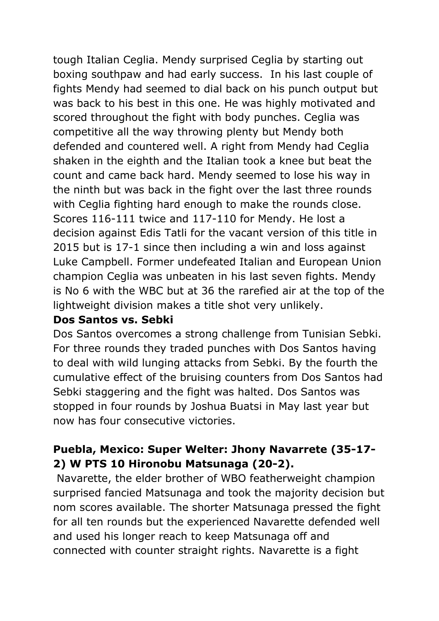tough Italian Ceglia. Mendy surprised Ceglia by starting out boxing southpaw and had early success. In his last couple of fights Mendy had seemed to dial back on his punch output but was back to his best in this one. He was highly motivated and scored throughout the fight with body punches. Ceglia was competitive all the way throwing plenty but Mendy both defended and countered well. A right from Mendy had Ceglia shaken in the eighth and the Italian took a knee but beat the count and came back hard. Mendy seemed to lose his way in the ninth but was back in the fight over the last three rounds with Ceglia fighting hard enough to make the rounds close. Scores 116-111 twice and 117-110 for Mendy. He lost a decision against Edis Tatli for the vacant version of this title in 2015 but is 17-1 since then including a win and loss against Luke Campbell. Former undefeated Italian and European Union champion Ceglia was unbeaten in his last seven fights. Mendy is No 6 with the WBC but at 36 the rarefied air at the top of the lightweight division makes a title shot very unlikely.

#### **Dos Santos vs. Sebki**

Dos Santos overcomes a strong challenge from Tunisian Sebki. For three rounds they traded punches with Dos Santos having to deal with wild lunging attacks from Sebki. By the fourth the cumulative effect of the bruising counters from Dos Santos had Sebki staggering and the fight was halted. Dos Santos was stopped in four rounds by Joshua Buatsi in May last year but now has four consecutive victories.

# **Puebla, Mexico: Super Welter: Jhony Navarrete (35-17- 2) W PTS 10 Hironobu Matsunaga (20-2).**

Navarette, the elder brother of WBO featherweight champion surprised fancied Matsunaga and took the majority decision but nom scores available. The shorter Matsunaga pressed the fight for all ten rounds but the experienced Navarette defended well and used his longer reach to keep Matsunaga off and connected with counter straight rights. Navarette is a fight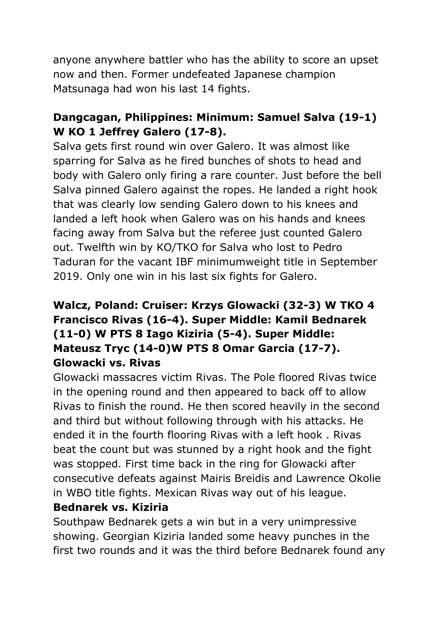anyone anywhere battler who has the ability to score an upset now and then. Former undefeated Japanese champion Matsunaga had won his last 14 fights.

### **Dangcagan, Philippines: Minimum: Samuel Salva (19-1) W KO 1 Jeffrey Galero (17-8).**

Salva gets first round win over Galero. It was almost like sparring for Salva as he fired bunches of shots to head and body with Galero only firing a rare counter. Just before the bell Salva pinned Galero against the ropes. He landed a right hook that was clearly low sending Galero down to his knees and landed a left hook when Galero was on his hands and knees facing away from Salva but the referee just counted Galero out. Twelfth win by KO/TKO for Salva who lost to Pedro Taduran for the vacant IBF minimumweight title in September 2019. Only one win in his last six fights for Galero.

# **Walcz, Poland: Cruiser: Krzys Glowacki (32-3) W TKO 4 Francisco Rivas (16-4). Super Middle: Kamil Bednarek (11-0) W PTS 8 Iago Kiziria (5-4). Super Middle: Mateusz Tryc (14-0)W PTS 8 Omar Garcia (17-7). Glowacki vs. Rivas**

Glowacki massacres victim Rivas. The Pole floored Rivas twice in the opening round and then appeared to back off to allow Rivas to finish the round. He then scored heavily in the second and third but without following through with his attacks. He ended it in the fourth flooring Rivas with a left hook . Rivas beat the count but was stunned by a right hook and the fight was stopped. First time back in the ring for Glowacki after consecutive defeats against Mairis Breidis and Lawrence Okolie in WBO title fights. Mexican Rivas way out of his league.

#### **Bednarek vs. Kiziria**

Southpaw Bednarek gets a win but in a very unimpressive showing. Georgian Kiziria landed some heavy punches in the first two rounds and it was the third before Bednarek found any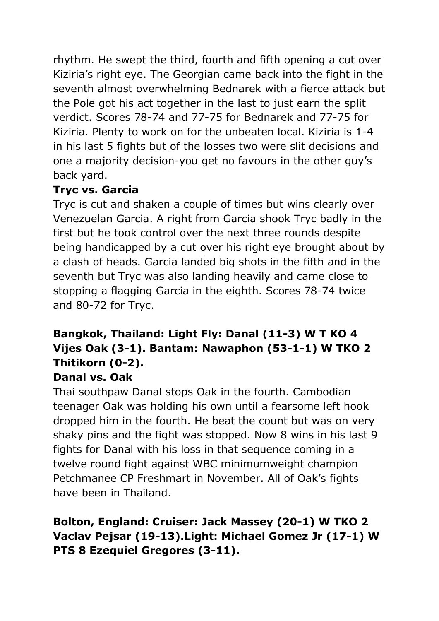rhythm. He swept the third, fourth and fifth opening a cut over Kiziria's right eye. The Georgian came back into the fight in the seventh almost overwhelming Bednarek with a fierce attack but the Pole got his act together in the last to just earn the split verdict. Scores 78-74 and 77-75 for Bednarek and 77-75 for Kiziria. Plenty to work on for the unbeaten local. Kiziria is 1-4 in his last 5 fights but of the losses two were slit decisions and one a majority decision-you get no favours in the other guy's back yard.

### **Tryc vs. Garcia**

Tryc is cut and shaken a couple of times but wins clearly over Venezuelan Garcia. A right from Garcia shook Tryc badly in the first but he took control over the next three rounds despite being handicapped by a cut over his right eye brought about by a clash of heads. Garcia landed big shots in the fifth and in the seventh but Tryc was also landing heavily and came close to stopping a flagging Garcia in the eighth. Scores 78-74 twice and 80-72 for Tryc.

# **Bangkok, Thailand: Light Fly: Danal (11-3) W T KO 4 Vijes Oak (3-1). Bantam: Nawaphon (53-1-1) W TKO 2 Thitikorn (0-2).**

#### **Danal vs. Oak**

Thai southpaw Danal stops Oak in the fourth. Cambodian teenager Oak was holding his own until a fearsome left hook dropped him in the fourth. He beat the count but was on very shaky pins and the fight was stopped. Now 8 wins in his last 9 fights for Danal with his loss in that sequence coming in a twelve round fight against WBC minimumweight champion Petchmanee CP Freshmart in November. All of Oak's fights have been in Thailand.

# **Bolton, England: Cruiser: Jack Massey (20-1) W TKO 2 Vaclav Pejsar (19-13).Light: Michael Gomez Jr (17-1) W PTS 8 Ezequiel Gregores (3-11).**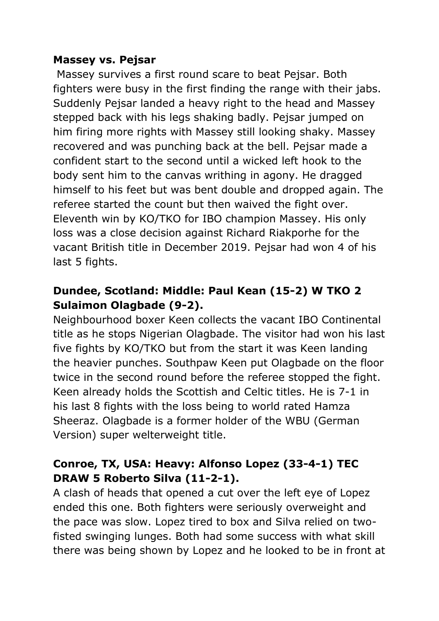#### **Massey vs. Pejsar**

Massey survives a first round scare to beat Pejsar. Both fighters were busy in the first finding the range with their jabs. Suddenly Pejsar landed a heavy right to the head and Massey stepped back with his legs shaking badly. Pejsar jumped on him firing more rights with Massey still looking shaky. Massey recovered and was punching back at the bell. Pejsar made a confident start to the second until a wicked left hook to the body sent him to the canvas writhing in agony. He dragged himself to his feet but was bent double and dropped again. The referee started the count but then waived the fight over. Eleventh win by KO/TKO for IBO champion Massey. His only loss was a close decision against Richard Riakporhe for the vacant British title in December 2019. Pejsar had won 4 of his last 5 fights.

#### **Dundee, Scotland: Middle: Paul Kean (15-2) W TKO 2 Sulaimon Olagbade (9-2).**

Neighbourhood boxer Keen collects the vacant IBO Continental title as he stops Nigerian Olagbade. The visitor had won his last five fights by KO/TKO but from the start it was Keen landing the heavier punches. Southpaw Keen put Olagbade on the floor twice in the second round before the referee stopped the fight. Keen already holds the Scottish and Celtic titles. He is 7-1 in his last 8 fights with the loss being to world rated Hamza Sheeraz. Olagbade is a former holder of the WBU (German Version) super welterweight title.

#### **Conroe, TX, USA: Heavy: Alfonso Lopez (33-4-1) TEC DRAW 5 Roberto Silva (11-2-1).**

A clash of heads that opened a cut over the left eye of Lopez ended this one. Both fighters were seriously overweight and the pace was slow. Lopez tired to box and Silva relied on twofisted swinging lunges. Both had some success with what skill there was being shown by Lopez and he looked to be in front at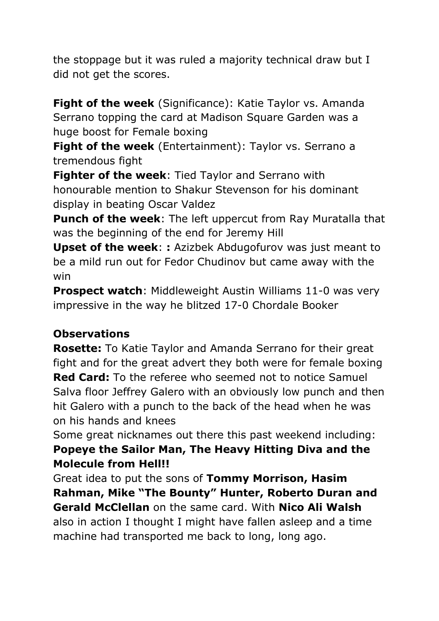the stoppage but it was ruled a majority technical draw but I did not get the scores.

**Fight of the week** (Significance): Katie Taylor vs. Amanda Serrano topping the card at Madison Square Garden was a huge boost for Female boxing

**Fight of the week** (Entertainment): Taylor vs. Serrano a tremendous fight

**Fighter of the week**: Tied Taylor and Serrano with honourable mention to Shakur Stevenson for his dominant display in beating Oscar Valdez

**Punch of the week**: The left uppercut from Ray Muratalla that was the beginning of the end for Jeremy Hill

**Upset of the week**: **:** Azizbek Abdugofurov was just meant to be a mild run out for Fedor Chudinov but came away with the win

**Prospect watch:** Middleweight Austin Williams 11-0 was very impressive in the way he blitzed 17-0 Chordale Booker

# **Observations**

**Rosette:** To Katie Taylor and Amanda Serrano for their great fight and for the great advert they both were for female boxing **Red Card:** To the referee who seemed not to notice Samuel Salva floor Jeffrey Galero with an obviously low punch and then hit Galero with a punch to the back of the head when he was on his hands and knees

Some great nicknames out there this past weekend including: **Popeye the Sailor Man, The Heavy Hitting Diva and the Molecule from Hell!!**

Great idea to put the sons of **Tommy Morrison, Hasim Rahman, Mike "The Bounty" Hunter, Roberto Duran and Gerald McClellan** on the same card. With **Nico Ali Walsh** also in action I thought I might have fallen asleep and a time machine had transported me back to long, long ago.